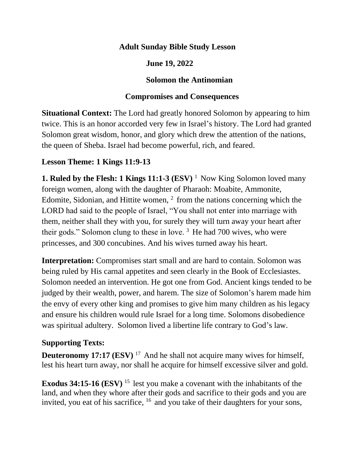#### **Adult Sunday Bible Study Lesson**

### **June 19, 2022**

#### **Solomon the Antinomian**

### **Compromises and Consequences**

**Situational Context:** The Lord had greatly honored Solomon by appearing to him twice. This is an honor accorded very few in Israel's history. The Lord had granted Solomon great wisdom, honor, and glory which drew the attention of the nations, the queen of Sheba. Israel had become powerful, rich, and feared.

## **Lesson Theme: 1 Kings 11:9-13**

**1. Ruled by the Flesh: 1 Kings**  $11:1-3$  **(ESV)<sup>1</sup> Now King Solomon loved many** foreign women, along with the daughter of Pharaoh: Moabite, Ammonite, Edomite, Sidonian, and Hittite women,  $2$  from the nations concerning which the LORD had said to the people of Israel, "You shall not enter into marriage with them, neither shall they with you, for surely they will turn away your heart after their gods." Solomon clung to these in love.  $3$  He had 700 wives, who were princesses, and 300 concubines. And his wives turned away his heart.

**Interpretation:** Compromises start small and are hard to contain. Solomon was being ruled by His carnal appetites and seen clearly in the Book of Ecclesiastes. Solomon needed an intervention. He got one from God. Ancient kings tended to be judged by their wealth, power, and harem. The size of Solomon's harem made him the envy of every other king and promises to give him many children as his legacy and ensure his children would rule Israel for a long time. Solomons disobedience was spiritual adultery. Solomon lived a libertine life contrary to God's law.

#### **Supporting Texts:**

**Deuteronomy 17:17 (ESV)** <sup>17</sup> And he shall not acquire many wives for himself, lest his heart turn away, nor shall he acquire for himself excessive silver and gold.

**Exodus 34:15-16 (ESV)** <sup>15</sup> lest you make a covenant with the inhabitants of the land, and when they whore after their gods and sacrifice to their gods and you are invited, you eat of his sacrifice,  $16$  and you take of their daughters for your sons,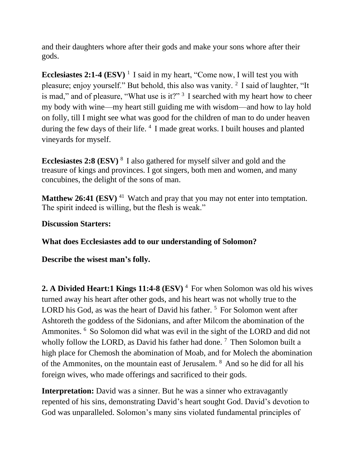and their daughters whore after their gods and make your sons whore after their gods.

**Ecclesiastes 2:1-4 (ESV)** <sup>1</sup> I said in my heart, "Come now, I will test you with pleasure; enjoy yourself." But behold, this also was vanity. <sup>2</sup> I said of laughter, "It is mad," and of pleasure, "What use is it?"  $3$  I searched with my heart how to cheer my body with wine—my heart still guiding me with wisdom—and how to lay hold on folly, till I might see what was good for the children of man to do under heaven during the few days of their life. <sup>4</sup> I made great works. I built houses and planted vineyards for myself.

**Ecclesiastes 2:8 (ESV)** <sup>8</sup> I also gathered for myself silver and gold and the treasure of kings and provinces. I got singers, both men and women, and many concubines, the delight of the sons of man.

**Matthew 26:41 (ESV)** <sup>41</sup> Watch and pray that you may not enter into temptation. The spirit indeed is willing, but the flesh is weak."

**Discussion Starters:**

**What does Ecclesiastes add to our understanding of Solomon?**

**Describe the wisest man's folly.** 

**2. A Divided Heart:1 Kings 11:4-8 (ESV)** <sup>4</sup> For when Solomon was old his wives turned away his heart after other gods, and his heart was not wholly true to the LORD his God, as was the heart of David his father.<sup>5</sup> For Solomon went after Ashtoreth the goddess of the Sidonians, and after Milcom the abomination of the Ammonites. <sup>6</sup> So Solomon did what was evil in the sight of the LORD and did not wholly follow the LORD, as David his father had done.<sup>7</sup> Then Solomon built a high place for Chemosh the abomination of Moab, and for Molech the abomination of the Ammonites, on the mountain east of Jerusalem. <sup>8</sup> And so he did for all his foreign wives, who made offerings and sacrificed to their gods.

**Interpretation:** David was a sinner. But he was a sinner who extravagantly repented of his sins, demonstrating David's heart sought God. David's devotion to God was unparalleled. Solomon's many sins violated fundamental principles of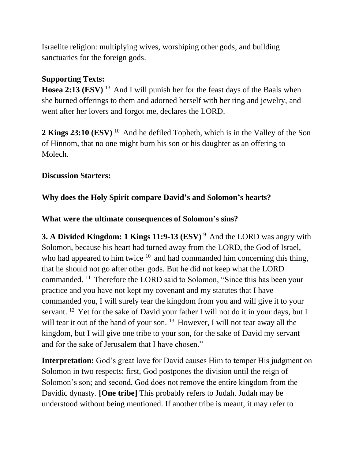Israelite religion: multiplying wives, worshiping other gods, and building sanctuaries for the foreign gods.

# **Supporting Texts:**

**Hosea 2:13 (ESV)** <sup>13</sup> And I will punish her for the feast days of the Baals when she burned offerings to them and adorned herself with her ring and jewelry, and went after her lovers and forgot me, declares the LORD.

**2 Kings 23:10 (ESV)** <sup>10</sup> And he defiled Topheth, which is in the Valley of the Son of Hinnom, that no one might burn his son or his daughter as an offering to Molech.

#### **Discussion Starters:**

# **Why does the Holy Spirit compare David's and Solomon's hearts?**

## **What were the ultimate consequences of Solomon's sins?**

**3. A Divided Kingdom: 1 Kings 11:9-13 (ESV)** <sup>9</sup> And the LORD was angry with Solomon, because his heart had turned away from the LORD, the God of Israel, who had appeared to him twice  $10$  and had commanded him concerning this thing, that he should not go after other gods. But he did not keep what the LORD commanded. <sup>11</sup> Therefore the LORD said to Solomon, "Since this has been your practice and you have not kept my covenant and my statutes that I have commanded you, I will surely tear the kingdom from you and will give it to your servant. <sup>12</sup> Yet for the sake of David your father I will not do it in your days, but I will tear it out of the hand of your son.  $13$  However, I will not tear away all the kingdom, but I will give one tribe to your son, for the sake of David my servant and for the sake of Jerusalem that I have chosen."

**Interpretation:** God's great love for David causes Him to temper His judgment on Solomon in two respects: first, God postpones the division until the reign of Solomon's son; and second, God does not remove the entire kingdom from the Davidic dynasty. **[One tribe]** This probably refers to Judah. Judah may be understood without being mentioned. If another tribe is meant, it may refer to